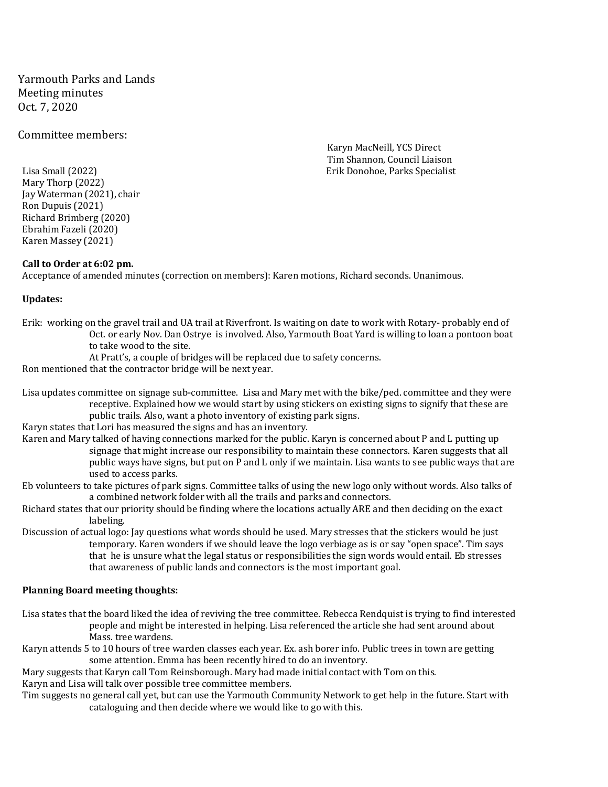Yarmouth Parks and Lands Meeting minutes Oct. 7, 2020

# Committee members:

Karyn MacNeill, YCS Direct Tim Shannon, Council Liaison Lisa Small (2022) Erik Donohoe, Parks Specialist

Mary Thorp (2022) Jay Waterman (2021), chair Ron Dupuis (2021) Richard Brimberg (2020) Ebrahim Fazeli (2020) Karen Massey (2021)

## **Call to Order at 6:02 pm.**

Acceptance of amended minutes (correction on members): Karen motions, Richard seconds. Unanimous.

## **Updates:**

Erik: working on the gravel trail and UA trail at Riverfront. Is waiting on date to work with Rotary- probably end of Oct. or early Nov. Dan Ostrye is involved. Also, Yarmouth Boat Yard is willing to loan a pontoon boat

- to take wood to the site.
- At Pratt's, a couple of bridges will be replaced due to safety concerns.

Ron mentioned that the contractor bridge will be next year.

Lisa updates committee on signage sub-committee. Lisa and Mary met with the bike/ped. committee and they were receptive. Explained how we would start by using stickers on existing signs to signify that these are public trails. Also, want a photo inventory of existing park signs.

Karyn states that Lori has measured the signs and has an inventory.

Karen and Mary talked of having connections marked for the public. Karyn is concerned about P and L putting up signage that might increase our responsibility to maintain these connectors. Karen suggests that all public ways have signs, but put on P and L only if we maintain. Lisa wants to see public ways that are used to access parks.

Eb volunteers to take pictures of park signs. Committee talks of using the new logo only without words. Also talks of a combined network folder with all the trails and parks and connectors.

- Richard states that our priority should be finding where the locations actually ARE and then deciding on the exact labeling.
- Discussion of actual logo: Jay questions what words should be used. Mary stresses that the stickers would be just temporary. Karen wonders if we should leave the logo verbiage as is or say "open space". Tim says that he is unsure what the legal status or responsibilities the sign words would entail. Eb stresses that awareness of public lands and connectors is the most important goal.

# **Planning Board meeting thoughts:**

Lisa states that the board liked the idea of reviving the tree committee. Rebecca Rendquist is trying to find interested people and might be interested in helping. Lisa referenced the article she had sent around about Mass. tree wardens.

Karyn attends 5 to 10 hours of tree warden classes each year. Ex. ash borer info. Public trees in town are getting some attention. Emma has been recently hired to do an inventory.

Mary suggests that Karyn call Tom Reinsborough. Mary had made initial contact with Tom on this. Karyn and Lisa will talk over possible tree committee members.

Tim suggests no general call yet, but can use the Yarmouth Community Network to get help in the future. Start with cataloguing and then decide where we would like to go with this.